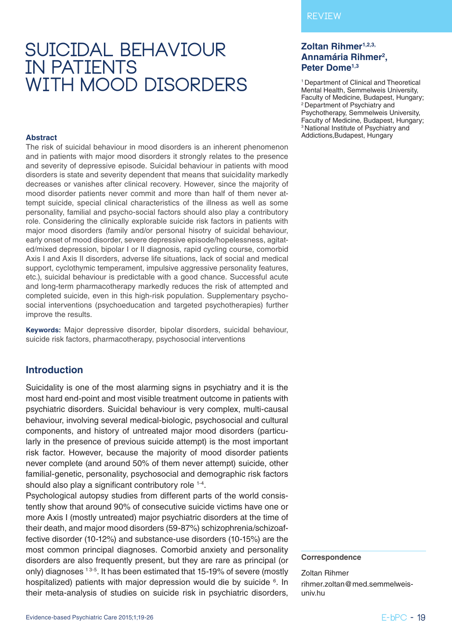# **suicidal behaviour in patients with mood disorders**

### **Zoltan Rihmer1,2,3,** Annamária Rihmer<sup>2</sup>, **Peter Dome1,3**

1 Department of Clinical and Theoretical Mental Health, Semmelweis University, Faculty of Medicine, Budapest, Hungary; 2 Department of Psychiatry and Psychotherapy, Semmelweis University, Faculty of Medicine, Budapest, Hungary; <sup>3</sup> National Institute of Psychiatry and Addictions,Budapest, Hungary

#### **Abstract**

The risk of suicidal behaviour in mood disorders is an inherent phenomenon and in patients with major mood disorders it strongly relates to the presence and severity of depressive episode. Suicidal behaviour in patients with mood disorders is state and severity dependent that means that suicidality markedly decreases or vanishes after clinical recovery. However, since the majority of mood disorder patients never commit and more than half of them never attempt suicide, special clinical characteristics of the illness as well as some personality, familial and psycho-social factors should also play a contributory role. Considering the clinically explorable suicide risk factors in patients with major mood disorders (family and/or personal hisotry of suicidal behaviour, early onset of mood disorder, severe depressive episode/hopelessness, agitated/mixed depression, bipolar I or II diagnosis, rapid cycling course, comorbid Axis I and Axis II disorders, adverse life situations, lack of social and medical support, cyclothymic temperament, impulsive aggressive personality features, etc.), suicidal behaviour is predictable with a good chance. Successful acute and long-term pharmacotherapy markedly reduces the risk of attempted and completed suicide, even in this high-risk population. Supplementary psychosocial interventions (psychoeducation and targeted psychotherapies) further improve the results.

**Keywords:** Major depressive disorder, bipolar disorders, suicidal behaviour, suicide risk factors, pharmacotherapy, psychosocial interventions

### **Introduction**

Suicidality is one of the most alarming signs in psychiatry and it is the most hard end-point and most visible treatment outcome in patients with psychiatric disorders. Suicidal behaviour is very complex, multi-causal behaviour, involving several medical-biologic, psychosocial and cultural components, and history of untreated major mood disorders (particularly in the presence of previous suicide attempt) is the most important risk factor. However, because the majority of mood disorder patients never complete (and around 50% of them never attempt) suicide, other familial-genetic, personality, psychosocial and demographic risk factors should also play a significant contributory role <sup>1-4</sup>.

Psychological autopsy studies from different parts of the world consistently show that around 90% of consecutive suicide victims have one or more Axis I (mostly untreated) major psychiatric disorders at the time of their death, and major mood disorders (59-87%) schizophrenia/schizoaffective disorder (10-12%) and substance-use disorders (10-15%) are the most common principal diagnoses. Comorbid anxiety and personality disorders are also frequently present, but they are rare as principal (or only) diagnoses <sup>13-5</sup>. It has been estimated that 15-19% of severe (mostly hospitalized) patients with major depression would die by suicide <sup>6</sup>. In their meta-analysis of studies on suicide risk in psychiatric disorders,

#### **Correspondence**

Zoltan Rihmer rihmer.zoltan@med.semmelweisuniv.hu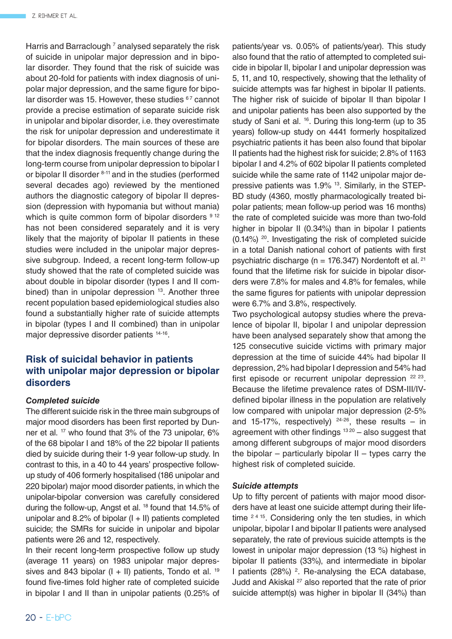Harris and Barraclough<sup>7</sup> analysed separately the risk of suicide in unipolar major depression and in bipolar disorder. They found that the risk of suicide was about 20-fold for patients with index diagnosis of unipolar major depression, and the same figure for bipolar disorder was 15. However, these studies  $67$  cannot provide a precise estimation of separate suicide risk in unipolar and bipolar disorder, i.e. they overestimate the risk for unipolar depression and underestimate it for bipolar disorders. The main sources of these are that the index diagnosis frequently change during the long-term course from unipolar depression to bipolar I or bipolar II disorder 8-11 and in the studies (performed several decades ago) reviewed by the mentioned authors the diagnostic category of bipolar II depression (depression with hypomania but without mania) which is quite common form of bipolar disorders  $912$ has not been considered separately and it is very likely that the majority of bipolar II patients in these studies were included in the unipolar major depressive subgroup. Indeed, a recent long-term follow-up study showed that the rate of completed suicide was about double in bipolar disorder (types I and II combined) than in unipolar depression <sup>13</sup>. Another three recent population based epidemiological studies also found a substantially higher rate of suicide attempts in bipolar (types I and II combined) than in unipolar major depressive disorder patients <sup>14-16</sup>.

# **Risk of suicidal behavior in patients with unipolar major depression or bipolar disorders**

### *Completed suicide*

The different suicide risk in the three main subgroups of major mood disorders has been first reported by Dunner et al. 17 who found that 3% of the 73 unipolar, 6% of the 68 bipolar I and 18% of the 22 bipolar II patients died by suicide during their 1-9 year follow-up study. In contrast to this, in a 40 to 44 years' prospective followup study of 406 formerly hospitalised (186 unipolar and 220 bipolar) major mood disorder patients, in which the unipolar-bipolar conversion was carefully considered during the follow-up, Angst et al. 18 found that 14.5% of unipolar and 8.2% of bipolar  $(I + II)$  patients completed suicide; the SMRs for suicide in unipolar and bipolar patients were 26 and 12, respectively.

In their recent long-term prospective follow up study (average 11 years) on 1983 unipolar major depressives and 843 bipolar  $(I + II)$  patients, Tondo et al. <sup>19</sup> found five-times fold higher rate of completed suicide in bipolar I and II than in unipolar patients (0.25% of

patients/year vs. 0.05% of patients/year). This study also found that the ratio of attempted to completed suicide in bipolar II, bipolar I and unipolar depression was 5, 11, and 10, respectively, showing that the lethality of suicide attempts was far highest in bipolar II patients. The higher risk of suicide of bipolar II than bipolar I and unipolar patients has been also supported by the study of Sani et al. <sup>16</sup>. During this long-term (up to 35 years) follow-up study on 4441 formerly hospitalized psychiatric patients it has been also found that bipolar II patients had the highest risk for suicide; 2.8% of 1163 bipolar I and 4.2% of 602 bipolar II patients completed suicide while the same rate of 1142 unipolar major depressive patients was 1.9% 13. Similarly, in the STEP-BD study (4360, mostly pharmacologically treated bipolar patients; mean follow-up period was 16 months) the rate of completed suicide was more than two-fold higher in bipolar II (0.34%) than in bipolar I patients (0.14%) 20. Investigating the risk of completed suicide in a total Danish national cohort of patients with first psychiatric discharge ( $n = 176.347$ ) Nordentoft et al. <sup>21</sup> found that the lifetime risk for suicide in bipolar disorders were 7.8% for males and 4.8% for females, while the same figures for patients with unipolar depression were 6.7% and 3.8%, respectively.

Two psychological autopsy studies where the prevalence of bipolar II, bipolar I and unipolar depression have been analysed separately show that among the 125 consecutive suicide victims with primary major depression at the time of suicide 44% had bipolar II depression, 2% had bipolar I depression and 54% had first episode or recurrent unipolar depression  $22 23$ . Because the lifetime prevalence rates of DSM-III/IVdefined bipolar illness in the population are relatively low compared with unipolar major depression (2-5% and 15-17%, respectively)  $24-26$ , these results – in agreement with other findings  $1320 -$  also suggest that among different subgroups of major mood disorders the bipolar – particularly bipolar  $II$  – types carry the highest risk of completed suicide.

#### *Suicide attempts*

Up to fifty percent of patients with major mood disorders have at least one suicide attempt during their lifetime  $2415$ . Considering only the ten studies, in which unipolar, bipolar I and bipolar II patients were analysed separately, the rate of previous suicide attempts is the lowest in unipolar major depression (13 %) highest in bipolar II patients (33%), and intermediate in bipolar I patients (28%)  $2$ . Re-analysing the ECA database, Judd and Akiskal 27 also reported that the rate of prior suicide attempt(s) was higher in bipolar II (34%) than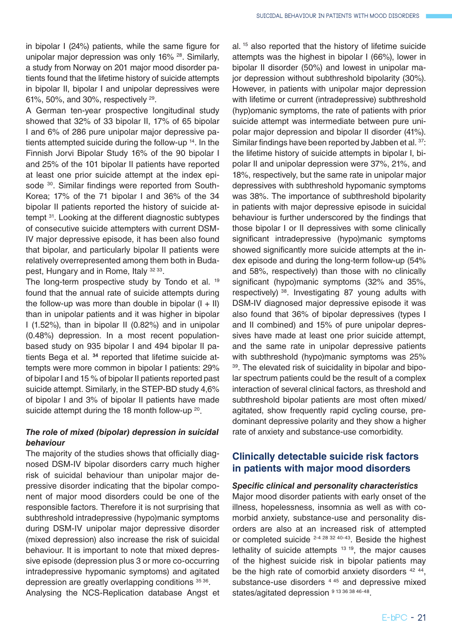in bipolar I (24%) patients, while the same figure for unipolar major depression was only 16% 28. Similarly, a study from Norway on 201 major mood disorder patients found that the lifetime history of suicide attempts in bipolar II, bipolar I and unipolar depressives were 61%, 50%, and 30%, respectively 29.

A German ten-year prospective longitudinal study showed that 32% of 33 bipolar II, 17% of 65 bipolar I and 6% of 286 pure unipolar major depressive patients attempted suicide during the follow-up 14. In the Finnish Jorvi Bipolar Study 16% of the 90 bipolar I and 25% of the 101 bipolar II patients have reported at least one prior suicide attempt at the index episode <sup>30</sup>. Similar findings were reported from South-Korea; 17% of the 71 bipolar I and 36% of the 34 bipolar II patients reported the history of suicide attempt 31. Looking at the different diagnostic subtypes of consecutive suicide attempters with current DSM-IV major depressive episode, it has been also found that bipolar, and particularly bipolar II patients were relatively overrepresented among them both in Budapest, Hungary and in Rome, Italy 32 33.

The long-term prospective study by Tondo et al. <sup>19</sup> found that the annual rate of suicide attempts during the follow-up was more than double in bipolar  $(I + II)$ than in unipolar patients and it was higher in bipolar I (1.52%), than in bipolar II (0.82%) and in unipolar (0.48%) depression. In a most recent populationbased study on 935 bipolar I and 494 bipolar II patients Bega et al. **<sup>34</sup>** reported that lifetime suicide attempts were more common in bipolar I patients: 29% of bipolar I and 15 % of bipolar II patients reported past suicide attempt. Similarly, in the STEP-BD study 4,6% of bipolar I and 3% of bipolar II patients have made suicide attempt during the 18 month follow-up <sup>20</sup>.

### *The role of mixed (bipolar) depression in suicidal behaviour*

The majority of the studies shows that officially diagnosed DSM-IV bipolar disorders carry much higher risk of suicidal behaviour than unipolar major depressive disorder indicating that the bipolar component of major mood disorders could be one of the responsible factors. Therefore it is not surprising that subthreshold intradepressive (hypo)manic symptoms during DSM-IV unipolar major depressive disorder (mixed depression) also increase the risk of suicidal behaviour. It is important to note that mixed depressive episode (depression plus 3 or more co-occurring intradepressive hypomanic symptoms) and agitated depression are greatly overlapping conditions 35 36. Analysing the NCS-Replication database Angst et al. 15 also reported that the history of lifetime suicide attempts was the highest in bipolar I (66%), lower in bipolar II disorder (50%) and lowest in unipolar major depression without subthreshold bipolarity (30%). However, in patients with unipolar major depression with lifetime or current (intradepressive) subthreshold (hyp)omanic symptoms, the rate of patients with prior suicide attempt was intermediate between pure unipolar major depression and bipolar II disorder (41%). Similar findings have been reported by Jabben et al. 37: the lifetime history of suicide attempts in bipolar I, bipolar II and unipolar depression were 37%, 21%, and 18%, respectively, but the same rate in unipolar major depressives with subthreshold hypomanic symptoms was 38%. The importance of subthreshold bipolarity in patients with major depressive episode in suicidal behaviour is further underscored by the findings that those bipolar I or II depressives with some clinically significant intradepressive (hypo)manic symptoms showed significantly more suicide attempts at the index episode and during the long-term follow-up (54% and 58%, respectively) than those with no clinically significant (hypo)manic symptoms (32% and 35%, respectively) 38. Investigating 87 young adults with DSM-IV diagnosed major depressive episode it was also found that 36% of bipolar depressives (types I and II combined) and 15% of pure unipolar depressives have made at least one prior suicide attempt, and the same rate in unipolar depressive patients with subthreshold (hypo)manic symptoms was 25% 39. The elevated risk of suicidality in bipolar and bipolar spectrum patients could be the result of a complex interaction of several clinical factors, as threshold and subthreshold bipolar patients are most often mixed/ agitated, show frequently rapid cycling course, predominant depressive polarity and they show a higher rate of anxiety and substance-use comorbidity.

# **Clinically detectable suicide risk factors in patients with major mood disorders**

### *Specific clinical and personality characteristics*

Major mood disorder patients with early onset of the illness, hopelessness, insomnia as well as with comorbid anxiety, substance-use and personality disorders are also at an increased risk of attempted or completed suicide 2-4 28 32 40-43. Beside the highest lethality of suicide attempts 13 19, the major causes of the highest suicide risk in bipolar patients may be the high rate of comorbid anxiety disorders <sup>42 44</sup>, substance-use disorders <sup>4 45</sup> and depressive mixed states/agitated depression 9 13 36 38 46-48.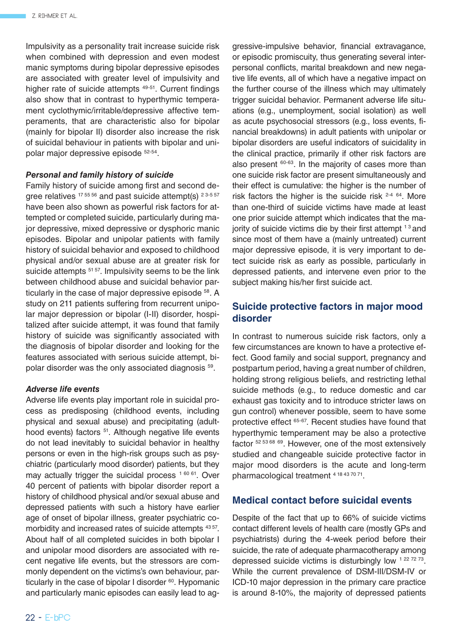Impulsivity as a personality trait increase suicide risk when combined with depression and even modest manic symptoms during bipolar depressive episodes are associated with greater level of impulsivity and higher rate of suicide attempts <sup>49-51</sup>. Current findings also show that in contrast to hyperthymic temperament cyclothymic/irritable/depressive affective temperaments, that are characteristic also for bipolar (mainly for bipolar II) disorder also increase the risk of suicidal behaviour in patients with bipolar and unipolar major depressive episode 52-54.

#### *Personal and family history of suicide*

Family history of suicide among first and second degree relatives  $175556$  and past suicide attempt(s)  $23-557$ have been also shown as powerful risk factors for attempted or completed suicide, particularly during major depressive, mixed depressive or dysphoric manic episodes. Bipolar and unipolar patients with family history of suicidal behavior and exposed to childhood physical and/or sexual abuse are at greater risk for suicide attempts <sup>51 57</sup>. Impulsivity seems to be the link between childhood abuse and suicidal behavior particularly in the case of major depressive episode 58. A study on 211 patients suffering from recurrent unipolar major depression or bipolar (I-II) disorder, hospitalized after suicide attempt, it was found that family history of suicide was significantly associated with the diagnosis of bipolar disorder and looking for the features associated with serious suicide attempt, bipolar disorder was the only associated diagnosis 59.

#### *Adverse life events*

Adverse life events play important role in suicidal process as predisposing (childhood events, including physical and sexual abuse) and precipitating (adulthood events) factors <sup>51</sup>. Although negative life events do not lead inevitably to suicidal behavior in healthy persons or even in the high-risk groups such as psychiatric (particularly mood disorder) patients, but they may actually trigger the suicidal process<sup>160 61</sup>. Over 40 percent of patients with bipolar disorder report a history of childhood physical and/or sexual abuse and depressed patients with such a history have earlier age of onset of bipolar illness, greater psychiatric comorbidity and increased rates of suicide attempts <sup>43 57</sup>. About half of all completed suicides in both bipolar I and unipolar mood disorders are associated with recent negative life events, but the stressors are commonly dependent on the victims's own behaviour, particularly in the case of bipolar I disorder <sup>60</sup>. Hypomanic and particularly manic episodes can easily lead to aggressive-impulsive behavior, financial extravagance, or episodic promiscuity, thus generating several interpersonal conflicts, marital breakdown and new negative life events, all of which have a negative impact on the further course of the illness which may ultimately trigger suicidal behavior. Permanent adverse life situations (e.g., unemployment, social isolation) as well as acute psychosocial stressors (e.g., loss events, financial breakdowns) in adult patients with unipolar or bipolar disorders are useful indicators of suicidality in the clinical practice, primarily if other risk factors are also present 60-63. In the majority of cases more than one suicide risk factor are present simultaneously and their effect is cumulative: the higher is the number of risk factors the higher is the suicide risk  $2-4$   $64$ . More than one-third of suicide victims have made at least one prior suicide attempt which indicates that the majority of suicide victims die by their first attempt  $13$  and since most of them have a (mainly untreated) current major depressive episode, it is very important to detect suicide risk as early as possible, particularly in depressed patients, and intervene even prior to the subject making his/her first suicide act.

### **Suicide protective factors in major mood disorder**

In contrast to numerous suicide risk factors, only a few circumstances are known to have a protective effect. Good family and social support, pregnancy and postpartum period, having a great number of children, holding strong religious beliefs, and restricting lethal suicide methods (e.g., to reduce domestic and car exhaust gas toxicity and to introduce stricter laws on gun control) whenever possible, seem to have some protective effect 65-67. Recent studies have found that hyperthymic temperament may be also a protective factor 52 53 68 69. However, one of the most extensively studied and changeable suicide protective factor in major mood disorders is the acute and long-term pharmacological treatment 4 18 43 70 71.

### **Medical contact before suicidal events**

Despite of the fact that up to 66% of suicide victims contact different levels of health care (mostly GPs and psychiatrists) during the 4-week period before their suicide, the rate of adequate pharmacotherapy among depressed suicide victims is disturbingly low 1 22 72 73. While the current prevalence of DSM-III/DSM-IV or ICD-10 major depression in the primary care practice is around 8-10%, the majority of depressed patients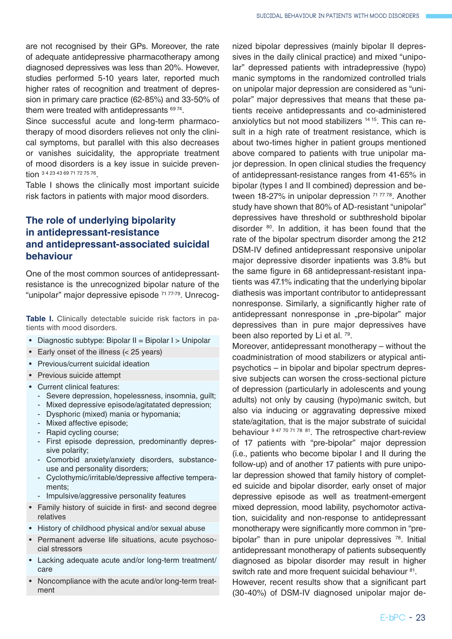are not recognised by their GPs. Moreover, the rate of adequate antidepressive pharmacotherapy among diagnosed depressives was less than 20%. However, studies performed 5-10 years later, reported much higher rates of recognition and treatment of depression in primary care practice (62-85%) and 33-50% of them were treated with antidepressants  $69\frac{74}{6}$ .

Since successful acute and long-term pharmacotherapy of mood disorders relieves not only the clinical symptoms, but parallel with this also decreases or vanishes suicidality, the appropriate treatment of mood disorders is a key issue in suicide prevention 34 23 43 69 71 72 75 76

Table I shows the clinically most important suicide risk factors in patients with major mood disorders.

# **The role of underlying bipolarity in antidepressant-resistance and antidepressant-associated suicidal behaviour**

One of the most common sources of antidepressantresistance is the unrecognized bipolar nature of the "unipolar" major depressive episode <sup>71 77-79</sup>. Unrecog-

**Table I.** Clinically detectable suicide risk factors in patients with mood disorders.

- Diagnostic subtype: Bipolar II = Bipolar I > Unipolar
- • Early onset of the illness (< 25 years)
- • Previous/current suicidal ideation
- • Previous suicide attempt
- Current clinical features:
	- Severe depression, hopelessness, insomnia, guilt;
	- Mixed depressive episode/agitatated depression;
	- Dysphoric (mixed) mania or hypomania;
	- Mixed affective episode;
	- Rapid cycling course;
	- First episode depression, predominantly depressive polarity;
	- Comorbid anxiety/anxiety disorders, substanceuse and personality disorders;
	- Cyclothymic/irritable/depressive affective temperaments;
	- Impulsive/aggressive personality features
- Family history of suicide in first- and second degree relatives
- History of childhood physical and/or sexual abuse
- Permanent adverse life situations, acute psychosocial stressors
- • Lacking adequate acute and/or long-term treatment/ care
- Noncompliance with the acute and/or long-term treatment

nized bipolar depressives (mainly bipolar II depressives in the daily clinical practice) and mixed "unipolar" depressed patients with intradepressive (hypo) manic symptoms in the randomized controlled trials on unipolar major depression are considered as "unipolar" major depressives that means that these patients receive antidepressants and co-administered anxiolytics but not mood stabilizers 14 15. This can result in a high rate of treatment resistance, which is about two-times higher in patient groups mentioned above compared to patients with true unipolar major depression. In open clinical studies the frequency of antidepressant-resistance ranges from 41-65% in bipolar (types I and II combined) depression and between 18-27% in unipolar depression <sup>71 77 78</sup>. Another study have shown that 80% of AD-resistant "unipolar" depressives have threshold or subthreshold bipolar disorder 80. In addition, it has been found that the rate of the bipolar spectrum disorder among the 212 DSM-IV defined antidepressant responsive unipolar major depressive disorder inpatients was 3.8% but the same figure in 68 antidepressant-resistant inpatients was 47.1% indicating that the underlying bipolar diathesis was important contributor to antidepressant nonresponse. Similarly, a significantly higher rate of antidepressant nonresponse in "pre-bipolar" major depressives than in pure major depressives have been also reported by Li et al. <sup>79</sup>.

Moreover, antidepressant monotherapy – without the coadministration of mood stabilizers or atypical antipsychotics – in bipolar and bipolar spectrum depressive subjects can worsen the cross-sectional picture of depression (particularly in adolescents and young adults) not only by causing (hypo)manic switch, but also via inducing or aggravating depressive mixed state/agitation, that is the major substrate of suicidal behaviour 9 47 70 71 78 81. The retrospective chart-review of 17 patients with "pre-bipolar" major depression (i.e., patients who become bipolar I and II during the follow-up) and of another 17 patients with pure unipolar depression showed that family history of completed suicide and bipolar disorder, early onset of major depressive episode as well as treatment-emergent mixed depression, mood lability, psychomotor activation, suicidality and non-response to antidepressant monotherapy were significantly more common in "prebipolar" than in pure unipolar depressives <sup>78</sup>. Initial antidepressant monotherapy of patients subsequently diagnosed as bipolar disorder may result in higher switch rate and more frequent suicidal behaviour <sup>81</sup>.

However, recent results show that a significant part (30-40%) of DSM-IV diagnosed unipolar major de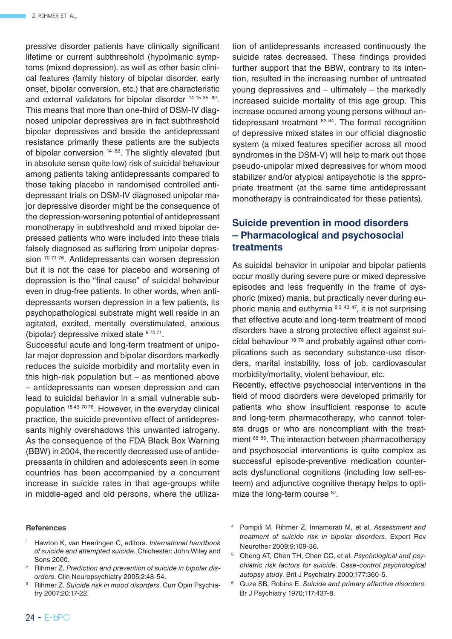pressive disorder patients have clinically significant lifetime or current subthreshold (hypo)manic symptoms (mixed depression), as well as other basic clinical features (family history of bipolar disorder, early onset, bipolar conversion, etc.) that are characteristic and external validators for bipolar disorder 14 15 35 82. This means that more than one-third of DSM-IV diagnosed unipolar depressives are in fact subthreshold bipolar depressives and beside the antidepressant resistance primarily these patients are the subjects of bipolar conversion <sup>14 82</sup>. The slightly elevated (but in absolute sense quite low) risk of suicidal behaviour among patients taking antidepressants compared to those taking placebo in randomised controlled antidepressant trials on DSM-IV diagnosed unipolar major depressive disorder might be the consequence of the depression-worsening potential of antidepressant monotherapy in subthreshold and mixed bipolar depressed patients who were included into these trials falsely diagnosed as suffering from unipolar depression <sup>70 71 76</sup>. Antidepressants can worsen depression but it is not the case for placebo and worsening of depression is the "final cause" of suicidal behaviour even in drug-free patients. In other words, when antidepressants worsen depression in a few patients, its psychopathological substrate might well reside in an agitated, excited, mentally overstimulated, anxious (bipolar) depressive mixed state  $97071$ .

Successful acute and long-term treatment of unipolar major depression and bipolar disorders markedly reduces the suicide morbidity and mortality even in this high-risk population but – as mentioned above – antidepressants can worsen depression and can lead to suicidal behavior in a small vulnerable subpopulation 18 43 70 76. However, in the everyday clinical practice, the suicide preventive effect of antidepressants highly overshadows this unwanted iatrogeny. As the consequence of the FDA Black Box Warning (BBW) in 2004, the recently decreased use of antidepressants in children and adolescents seen in some countries has been accompanied by a concurrent increase in suicide rates in that age-groups while in middle-aged and old persons, where the utiliza-

#### **References**

- <sup>1</sup> Hawton K, van Heeringen C, editors. *International handbook of suicide and attempted suicide.* Chichester: John Wiley and Sons 2000.
- <sup>2</sup> Rihmer Z. *Prediction and prevention of suicide in bipolar disorders*. Clin Neuropsychiatry 2005;2:48-54.
- <sup>3</sup> Rihmer Z. *Suicide risk in mood disorders*. Curr Opin Psychiatry 2007;20:17-22.

tion of antidepressants increased continuously the suicide rates decreased. These findings provided further support that the BBW, contrary to its intention, resulted in the increasing number of untreated young depressives and – ultimately – the markedly increased suicide mortality of this age group. This increase occured among young persons without antidepressant treatment  $83 84$ . The formal recognition of depressive mixed states in our official diagnostic system (a mixed features specifier across all mood syndromes in the DSM-V) will help to mark out those pseudo-unipolar mixed depressives for whom mood stabilizer and/or atypical antipsychotic is the appropriate treatment (at the same time antidepressant monotherapy is contraindicated for these patients).

## **Suicide prevention in mood disorders – Pharmacological and psychosocial treatments**

As suicidal behavior in unipolar and bipolar patients occur mostly during severe pure or mixed depressive episodes and less frequently in the frame of dysphoric (mixed) mania, but practically never during euphoric mania and euthymia  $23,43,47$ , it is not surprising that effective acute and long-term treatment of mood disorders have a strong protective effect against suicidal behaviour 18 76 and probably against other complications such as secondary substance-use disorders, marital instability, loss of job, cardiovascular morbidity/mortality, violent behaviour, etc.

Recently, effective psychosocial interventions in the field of mood disorders were developed primarily for patients who show insufficient response to acute and long-term pharmacotherapy, who cannot tolerate drugs or who are noncompliant with the treatment 85 86. The interaction between pharmacotherapy and psychosocial interventions is quite complex as successful episode-preventive medication counteracts dysfunctional cognitions (including low self-esteem) and adjunctive cognitive therapy helps to optimize the long-term course <sup>87</sup>.

- <sup>4</sup> Pompili M, Rihmer Z, Innamorati M, et al. *Assessment and treatment of suicide risk in bipolar disorders*. Expert Rev Neurother 2009;9:109-36.
- <sup>5</sup> Cheng AT, Chen TH, Chen CC, et al. *Psychological and psychiatric risk factors for suicide. Case-control psychological autopsy study*. Brit J Psychiatry 2000;177:360-5.

<sup>6</sup> Guze SB, Robins E. *Suicide and primary affective disorders*. Br J Psychiatry 1970;117:437-8.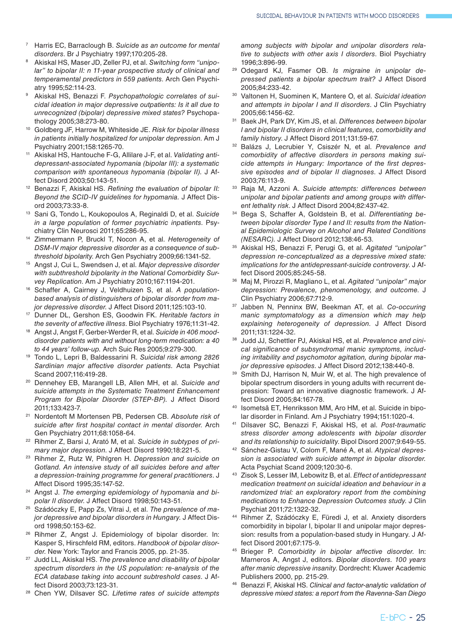- <sup>7</sup> Harris EC, Barraclough B. *Suicide as an outcome for mental disorders*. Br J Psychiatry 1997;170:205-28.
- <sup>8</sup> Akiskal HS, Maser JD, Zeller PJ, et al. *Switching form "unipolar" to bipolar II: n 11-year prospective study of clinical and temperamental predictors in 559 patients*. Arch Gen Psychiatry 1995;52:114-23.
- <sup>9</sup> Akiskal HS, Benazzi F. *Psychopathologic correlates of suicidal ideation in major depressive outpatients: Is it all due to unrecognized (bipolar) depressive mixed states?* Psychopathology 2005;38:273-80.
- <sup>10</sup> Goldberg JF, Harrow M, Whiteside JE. *Risk for bipolar illness in patients initially hospitalized for unipolar depression*. Am J Psychiatry 2001;158:1265-70.
- <sup>11</sup> Akiskal HS, Hantouche F-G, Allilare J-F, et al. *Validating antidepressant-associated hypomania (bipolar III): a systematic comparison with spontaneous hypomania (bipolar II).* J Affect Disord 2003;50:143-51.
- <sup>12</sup> Benazzi F, Akiskal HS. *Refining the evaluation of bipolar II: Beyond the SCID-IV guidelines for hypomania.* J Affect Disord 2003;73:33-8.
- <sup>13</sup> Sani G, Tondo L, Koukopoulos A, Reginaldi D, et al. *Suicide in a large population of former psychiatric inpatients*. Psychiatry Clin Neurosci 2011;65:286-95.
- <sup>14</sup> Zimmermann P, Bruckl T, Nocon A, et al. *Heterogeneity of DSM-IV major depressive disorder as a consequence of subthreshold bipolarity*. Arch Gen Psychiatry 2009;66:1341-52.
- <sup>15</sup> Angst J, Cui L, Swendsen J, et al. *Major depressive disorder with subthreshold bipolarity in the National Comorbidity Survey Replication*. Am J Psychiatry 2010;167:1194-201.
- Schaffer A, Cairney J, Veldhuizen S, et al. *A populationbased analysis of distinguishers of bipolar disorder from major depressive disorder*. J Affect Disord 2011;125:103-10.
- <sup>17</sup> Dunner DL, Gershon ES, Goodwin FK. *Heritable factors in the severity of affective illness*. Biol Psychiatry 1976;11:31-42.
- Angst J, Angst F, Gerber-Werder R, et al. *Suicide in 406 mooddisorder patients with and without long-term medication: a 40 to 44 years' follow-up.* Arch Suic Res 2005;9:279-300.
- <sup>19</sup> Tondo L, Lepri B, Baldessarini R. *Suicidal risk among 2826 Sardinian major affective disorder patients.* Acta Psychiat Scand 2007;116:419-28.
- <sup>20</sup> Dennehey EB, Marangell LB, Allen MH, et al. *Suicide and suicide attempts in the Systematic Treatment Enhancement Program for Bipolar Disorder (STEP-BP).* J Affect Disord 2011;133:423-7.
- <sup>21</sup> Nordentoft M Mortensen PB, Pedersen CB. *Absolute risk of suicide after first hospital contact in mental disorder*. Arch Gen Psychiatry 2011;68:1058-64.
- <sup>22</sup> Rihmer Z, Barsi J, Arató M, et al. *Suicide in subtypes of primary major depression*. J Affect Disord 1990;18:221-5.
- <sup>23</sup> Rihmer Z, Rutz W, Pihlgren H. *Depression and suicide on Gotland. An intensive study of all suicides before and after a depression-training programme for general practitioners*. J Affect Disord 1995;35:147-52.
- <sup>24</sup> Angst J. *The emerging epidemiology of hypomania and bipolar II disorder*. J Affect Disord 1998;50:143-51.
- <sup>25</sup> Szádóczky E, Papp Zs, Vitrai J, et al. *The prevalence of major depressive and bipolar disorders in Hungary.* J Affect Disord 1998;50:153-62.
- Rihmer Z, Angst J. Epidemiology of bipolar disorder. In: Kasper S, Hirschfeld RM, editors. *Handbook of bipolar disorder*. New York: Taylor and Francis 2005, pp. 21-35.
- <sup>27</sup> Judd LL, Akiskal HS. *The prevalence and disability of bipolar spectrum disorders in the US population: re-analysis of the ECA database taking into account subtreshold cases*. J Affect Disord 2003;73:123-31.
- <sup>28</sup> Chen YW, Dilsaver SC. *Lifetime rates of suicide attempts*

*among subjects with bipolar and unipolar disorders relative to subjects with other axis I disorders*. Biol Psychiatry 1996;3:896-99.

- <sup>29</sup> Odegard KJ, Fasmer OB. *Is migraine in unipolar depressed patients a bipolar spectrum trait?* J Affect Disord 2005;84:233-42.
- <sup>30</sup> Valtonen H, Suominen K, Mantere O, et al. *Suicidal ideation and attempts in bipolar I and II disorders*. J Clin Psychiatry 2005;66:1456-62.
- <sup>31</sup> Baek JH, Park DY, Kim JS, et al. *Differences between bipolar I and bipolar II disorders in clinical features, comorbidity and family history*. J Affect Disord 2011;131:59-67.
- <sup>32</sup> Balázs J, Lecrubier Y, Csiszér N, et al. *Prevalence and comorbidity of affective disorders in persons making suicide attempts in Hungary: Importance of the first depressive episodes and of bipolar II diagnoses*. J Affect Disord 2003;76:113-9.
- <sup>33</sup> Raja M, Azzoni A. *Suicide attempts: differences between unipolar and bipolar patients and among groups with different lethality risk*. J Affect Disord 2004;82:437-42.
- <sup>34</sup> Bega S, Schaffer A, Goldstein B, et al. *Differentiating between bipolar disorder Type I and II: results from the National Epidemiologic Survey on Alcohol and Related Conditions (NESARC).* J Affect Disord 2012;138:46-53.
- <sup>35</sup> Akiskal HS, Benazzi F, Perugi G, et al. *Agitated "unipolar" depression re-conceptualized as a depressive mixed state: implications for the antidepressant-suicide controversy*. J Affect Disord 2005;85:245-58.
- <sup>36</sup> Maj M, Pirozzi R, Magliano L, et al. *Agitated "unipolar" major depression: Prevalence, phenomenology, and outcome*. J Clin Psychiatry 2006;67:712-9.
- <sup>37</sup> Jabben N, Penninx BW, Beekman AT, et al. *Co-occuring manic symptomatology as a dimension which may help explaining heterogeneity of depression*. J Affect Disord 2011;131:1224-32.
- <sup>38</sup> Judd JJ, Schettler PJ, Akiskal HS, et al. *Prevalence and cinical significance of subsyndromal manic symptoms, including irritability and psychomotor agitation, during bipolar major depressive episodes*. J Affect Disord 2012;138:440-8.
- 39 Smith DJ, Harrison N, Muir W, et al. The high prevalence of bipolar spectrum disorders in young adults with recurrent depression: Toward an innovative diagnostic framework. J Affect Disord 2005;84:167-78.
- <sup>40</sup> Isometsä ET, Henriksson MM, Aro HM, et al. Suicide in bipolar disorder in Finland. Am J Psychiatry 1994;151:1020-4.
- <sup>41</sup> Dilsaver SC, Benazzi F, Akiskal HS, et al. *Post-traumatic stress disorder among adolescents with bipolar disorder and its relationship to suicidality*. Bipol Disord 2007;9:649-55.
- <sup>42</sup> Sánchez-Gistau V, Colom F, Mané A, et al. *Atypical depression is associated with suicide attempt in bipolar disorder.* Acta Psychiat Scand 2009;120:30-6.
- <sup>43</sup> Zisok S, Lesser IM, Lebowitz B, et al. *Effect of antidepressant medication treatment on suicidal ideation and behaviour in a randomized trial: an exploratory report from the combining medications to Enhance Depression Outcomes study*. J Clin Psychiat 2011;72:1322-32.
- <sup>44</sup> Rihmer Z, Szádóczky E, Füredi J, et al. Anxiety disorders comorbidity in bipolar I, bipolar II and unipolar major depression: results from a population-based study in Hungary. J Affect Disord 2001;67:175-9.
- <sup>45</sup> Brieger P. *Comorbidity in bipolar affective disorder*. In: Marneros A, Angst J, editors. *Bipolar disorders. 100 years after manic depressive insanity*. Dordrecht: Kluwer Academic Publishers 2000, pp. 215-29.
- <sup>46</sup> Benazzi F, Akiskal HS. *Clinical and factor-analytic validation of depressive mixed states: a report from the Ravenna-San Diego*